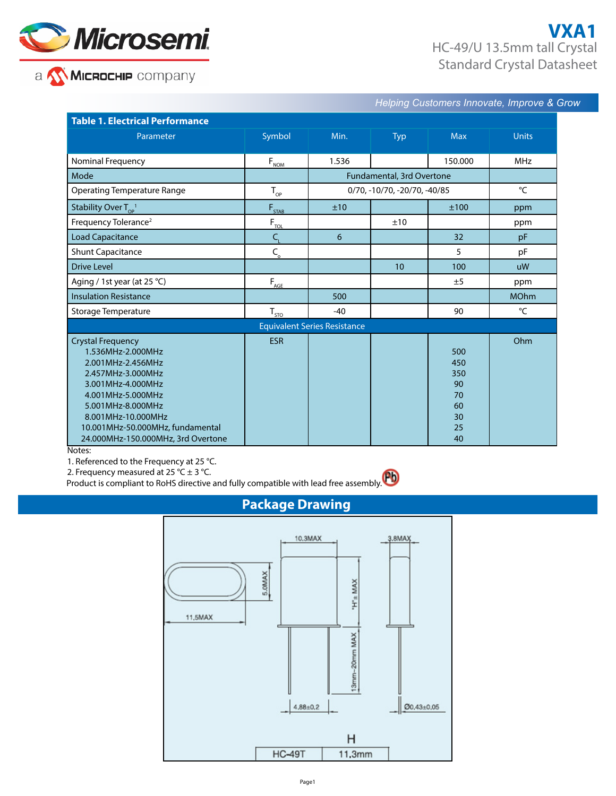

## a WMCROCHIP company

## **VXA1** HC-49/U 13.5mm tall Crystal Standard Crystal Datasheet

*Helping Customers Innovate, Improve & Grow* 

| <b>Table 1. Electrical Performance</b>                                                                                                                                                                                                                 |                                           |                              |            |                                                       |              |  |
|--------------------------------------------------------------------------------------------------------------------------------------------------------------------------------------------------------------------------------------------------------|-------------------------------------------|------------------------------|------------|-------------------------------------------------------|--------------|--|
| Parameter                                                                                                                                                                                                                                              | Symbol                                    | Min.                         | <b>Typ</b> | <b>Max</b>                                            | <b>Units</b> |  |
|                                                                                                                                                                                                                                                        |                                           |                              |            |                                                       |              |  |
| Nominal Frequency                                                                                                                                                                                                                                      | $F_{NOM}$                                 | 1.536                        |            | 150.000                                               | <b>MHz</b>   |  |
| Mode                                                                                                                                                                                                                                                   |                                           | Fundamental, 3rd Overtone    |            |                                                       |              |  |
| <b>Operating Temperature Range</b>                                                                                                                                                                                                                     | $T_{\rm OP}$                              | 0/70, -10/70, -20/70, -40/85 |            | °C                                                    |              |  |
| Stability Over $T_{\text{OP}}^{-1}$                                                                                                                                                                                                                    | $F_{STAB}$                                | ±10                          |            | ±100                                                  | ppm          |  |
| Frequency Tolerance <sup>2</sup>                                                                                                                                                                                                                       | $F_{\underline{\tau \underline{\omega}}}$ |                              | ±10        |                                                       | ppm          |  |
| <b>Load Capacitance</b>                                                                                                                                                                                                                                | $C_{\rm L}$                               | 6                            |            | 32                                                    | pF           |  |
| <b>Shunt Capacitance</b>                                                                                                                                                                                                                               | $C_{\rm o}$                               |                              |            | 5                                                     | pF           |  |
| <b>Drive Level</b>                                                                                                                                                                                                                                     |                                           |                              | 10         | 100                                                   | <b>uW</b>    |  |
| Aging / 1st year (at 25 °C)                                                                                                                                                                                                                            | $F_{\underline{AGE}}$                     |                              |            | ±5                                                    | ppm          |  |
| <b>Insulation Resistance</b>                                                                                                                                                                                                                           |                                           | 500                          |            |                                                       | <b>MOhm</b>  |  |
| Storage Temperature                                                                                                                                                                                                                                    | $T_{\underline{\text{SD}}}$               | $-40$                        |            | 90                                                    | °C           |  |
| <b>Equivalent Series Resistance</b>                                                                                                                                                                                                                    |                                           |                              |            |                                                       |              |  |
| <b>Crystal Frequency</b><br>1.536MHz-2.000MHz<br>2.001MHz-2.456MHz<br>2.457MHz-3.000MHz<br>3.001MHz-4.000MHz<br>4.001MHz-5.000MHz<br>5.001MHz-8.000MHz<br>8.001MHz-10.000MHz<br>10.001MHz-50.000MHz, fundamental<br>24.000MHz-150.000MHz, 3rd Overtone | <b>ESR</b>                                |                              |            | 500<br>450<br>350<br>90<br>70<br>60<br>30<br>25<br>40 | Ohm          |  |

Notes:

1. Referenced to the Frequency at 25 °C.<br>2. Frequency measured at 25 °C ± 3 °C.

2. Frequency measured at 25 °C  $\pm$  3 °C.

Product is compliant to RoHS directive and fully compatible with lead free assembly.

## **Package Drawing**